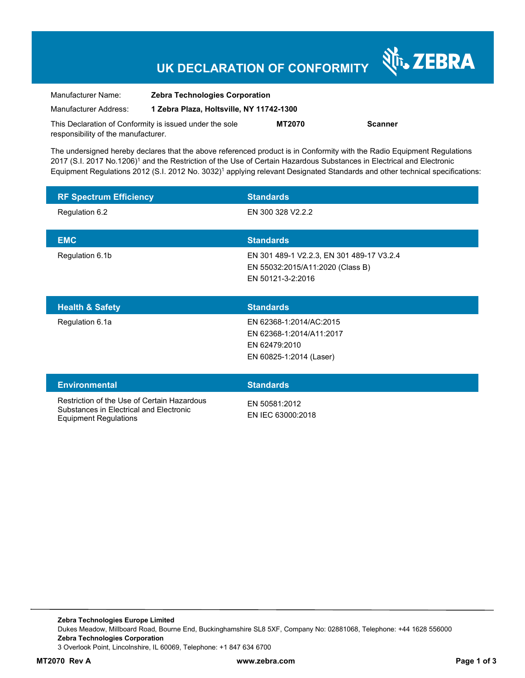## **UK DECLARATION OF CONFORMITY**

Nr. ZEBRA

| Manufacturer Name:                                      | <b>Zebra Technologies Corporation</b>    |               |                |
|---------------------------------------------------------|------------------------------------------|---------------|----------------|
| Manufacturer Address:                                   | 1 Zebra Plaza, Holtsville, NY 11742-1300 |               |                |
| This Declaration of Conformity is issued under the sole |                                          | <b>MT2070</b> | <b>Scanner</b> |
| responsibility of the manufacturer.                     |                                          |               |                |

The undersigned hereby declares that the above referenced product is in Conformity with the Radio Equipment Regulations 2017 (S.I. 2017 No.1206)<sup>1</sup> and the Restriction of the Use of Certain Hazardous Substances in Electrical and Electronic Equipment Regulations 2012 (S.I. 2012 No. 3032)<sup>1</sup> applying relevant Designated Standards and other technical specifications:

| <b>RF Spectrum Efficiency</b>                                                                                          | <b>Standards</b>                                                                                   |
|------------------------------------------------------------------------------------------------------------------------|----------------------------------------------------------------------------------------------------|
| Regulation 6.2                                                                                                         | EN 300 328 V2.2.2                                                                                  |
| <b>EMC</b>                                                                                                             | <b>Standards</b>                                                                                   |
| Regulation 6.1b                                                                                                        | EN 301 489-1 V2.2.3, EN 301 489-17 V3.2.4<br>EN 55032:2015/A11:2020 (Class B)<br>EN 50121-3-2:2016 |
| <b>Health &amp; Safety</b>                                                                                             | <b>Standards</b>                                                                                   |
| Regulation 6.1a                                                                                                        | EN 62368-1:2014/AC:2015<br>EN 62368-1:2014/A11:2017<br>EN 62479:2010<br>EN 60825-1:2014 (Laser)    |
| <b>Environmental</b>                                                                                                   | <b>Standards</b>                                                                                   |
| Restriction of the Use of Certain Hazardous<br>Substances in Electrical and Electronic<br><b>Equipment Regulations</b> | EN 50581:2012<br>EN IEC 63000:2018                                                                 |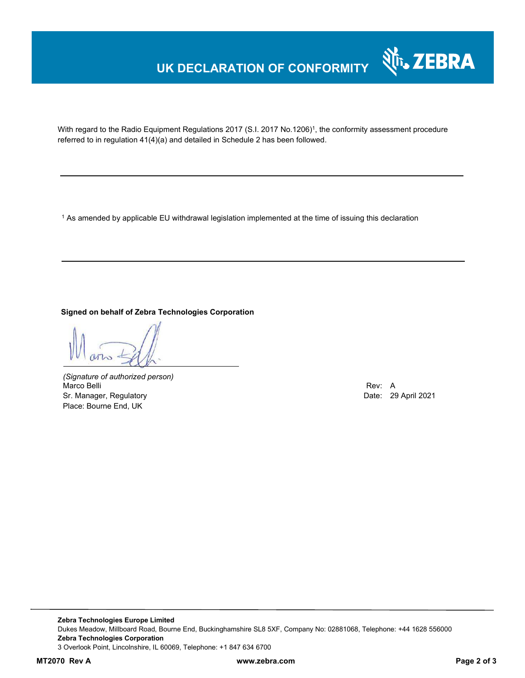### **UK DECLARATION OF CONFORMITY**



With regard to the Radio Equipment Regulations 2017 (S.I. 2017 No.1206)<sup>1</sup>, the conformity assessment procedure referred to in regulation 41(4)(a) and detailed in Schedule 2 has been followed.

1 As amended by applicable EU withdrawal legislation implemented at the time of issuing this declaration

**Signed on behalf of Zebra Technologies Corporation** 

*(Signature of authorized person)* Marco Belli Rev: A Sr. Manager, Regulatory **Date: 29 April 2021** Place: Bourne End, UK